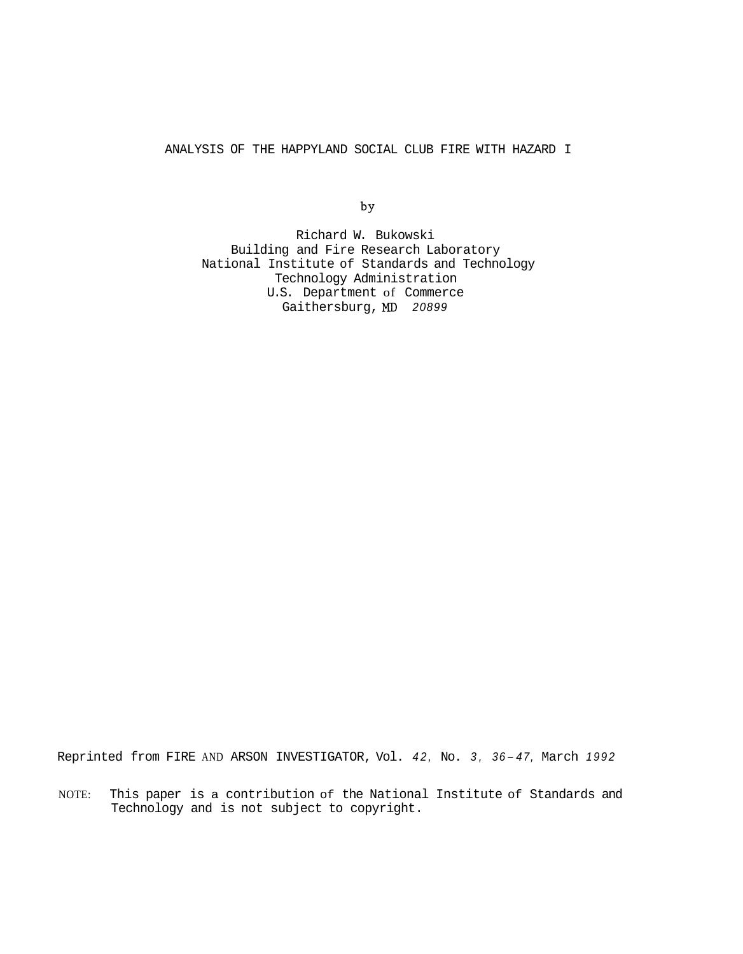<span id="page-0-0"></span>ANALYSIS OF THE HAPPYLAND SOCIAL CLUB FIRE WITH HAZARD I

by

Richard W. Bukowski Building and Fire Research Laboratory National Institute of Standards and Technology Technology Administration U.S. Department of Commerce Gaithersburg, MD *20899* 

Reprinted from FIRE AND ARSON INVESTIGATOR, Vol. *42,* No. *3, 36- 47,* March *<sup>1992</sup>*

NOTE: This paper is a contribution of the National Institute of Standards and Technology and is not subject to copyright.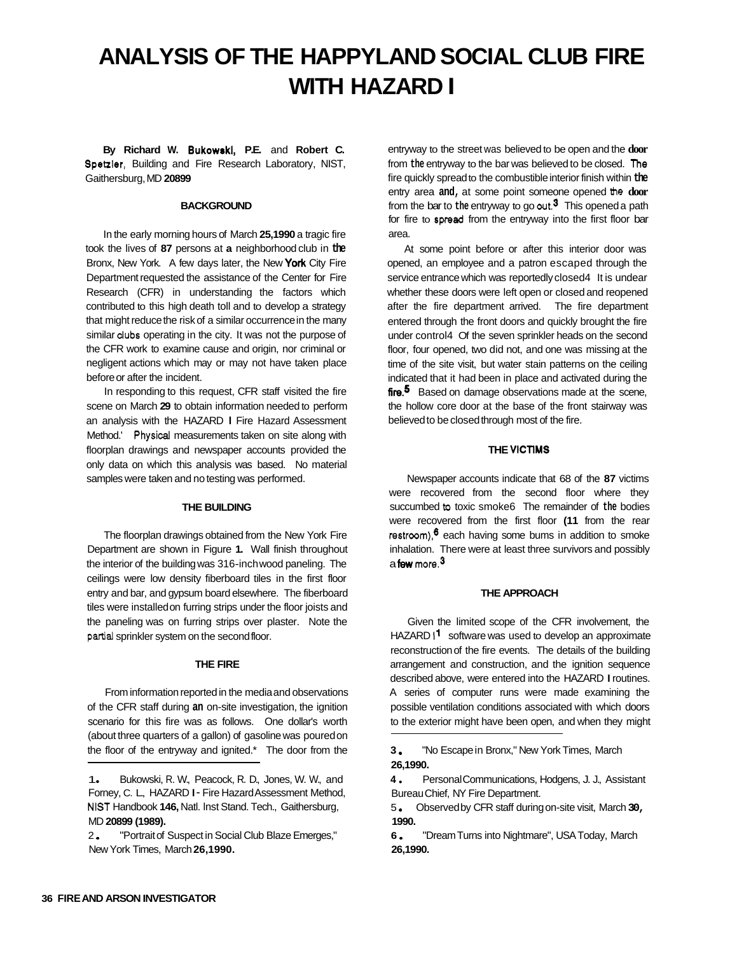# **ANALYSIS OF THE HAPPYLAND SOCIAL CLUB FIRE WITH HAZARD I**

**By Richard W. Bukowskl, P.E.** and **Robert C. Spetzler,** Building and Fire Research Laboratory, NIST, Gaithersburg, MD **20899** 

#### **BACKGROUND**

In the early morning hours of March **25,1990** a tragic fire took the lives of **87** persons at **a** neighborhood club in **the**  Bronx, New York. A few days later, the New York City Fire Department requested the assistance of the Center for Fire Research (CFR) in understanding the factors which contributed to this high death toll and to develop a strategy that might reduce the risk of a similar occurrence in the many similar dubs operating in the city. It was not the purpose of the CFR work to examine cause and origin, nor criminal or negligent actions which may or may not have taken place before or after the incident.

In responding to this request, CFR staff visited the fire scene on March **29** to obtain information needed to perform an analysis with the HAZARD I Fire Hazard Assessment Method.' Physical measurements taken on site along with floorplan drawings and newspaper accounts provided the only data on which this analysis was based. No material samples were taken and no testing was performed.

#### **THE BUILDING**

The floorplan drawings obtained from the New York Fire Department are shown in [Figure](#page-9-0) **1.** Wall finish throughout the interior of the building was 316-inch wood paneling. The ceilings were low density fiberboard tiles in the first floor entry and bar, and gypsum board elsewhere. The fiberboard tiles were installed on furring strips under the floor joists and the paneling was on furring strips over plaster. Note the partial sprinkler system on the second floor.

#### **THE FIRE**

From information reported in the media and observations of the CFR staff during **an** on-site investigation, the ignition scenario for this fire was as follows. One dollar's worth (about three quarters of a gallon) of gasoline was poured on the floor of the entryway and ignited.\* The door from the

entryway to the street was believed to be open and the **door**  from **the** entryway to the bar was believed to be closed. **The**  fire quickly spread to the combustible interior finish within **the**  entry area **and,** at some point someone opened the **door**  from the bar to **the** entryway to go wt.3 This opened a path for fire to **spad** from the entryway into the first floor bar area.

At some point before or after this interior door was opened, an employee and a patron escaped through the service entrance which was reportedly closed4 It is undear whether these doors were left open or closed and reopened after the fire department arrived. The fire department entered through the front doors and quickly brought the fire under control4 Of the seven sprinkler heads on the second floor, four opened, two did not, and one was missing at the time of the site visit, but water stain patterns on the ceiling indicated that it had been in place and activated during the fire.<sup>5</sup> Based on damage observations made at the scene, the hollow core door at the base of the front stairway was believed to be closed through most of the fire.

#### **THE VICTIMS**

Newspaper accounts indicate that 68 of the **87** victims were recovered from the second floor where they succumbed **b** toxic smoke6 The remainder of **the** bodies were recovered from the first floor **(11** from the rear restroom), $6$  each having some bums in addition to smoke inhalation. There were at least three survivors and possibly a few more.<sup>3</sup>

#### **THE APPROACH**

Given the limited scope of the CFR involvement, the HAZARD **I1** software was used to develop an approximate reconstruction of the fire events. The details of the building arrangement and construction, and the ignition sequence described above, were entered into the HAZARD I routines. A series of computer runs were made examining the possible ventilation conditions associated with which doors to the exterior might have been open, and when they might

**3 26,1990.**  "No Escape in Bronx," New York Times, March

**4**  Bureau Chief, NY Fire Department. Personal Communications, Hodgens, J. J., Assistant

5 **1990.**  Observed by CFR staff during on-site visit, March **30,** 

**6 26,1990.**  "Dream Turns into Nightmare", USA Today, March

<sup>1.</sup> Bukowski, R. W., Peacock, R. D., Jones, W. W., and Forney, C. L., HAZARD I - Fire Hazard Assessment Method, NIST Handbook **146,** Natl. lnst Stand. Tech., Gaithersburg, MD **20899 (1989).** 

<sup>2. &</sup>quot;Portrait of Suspect in Social Club Blaze Emerges," New York Times, March **26,1990.**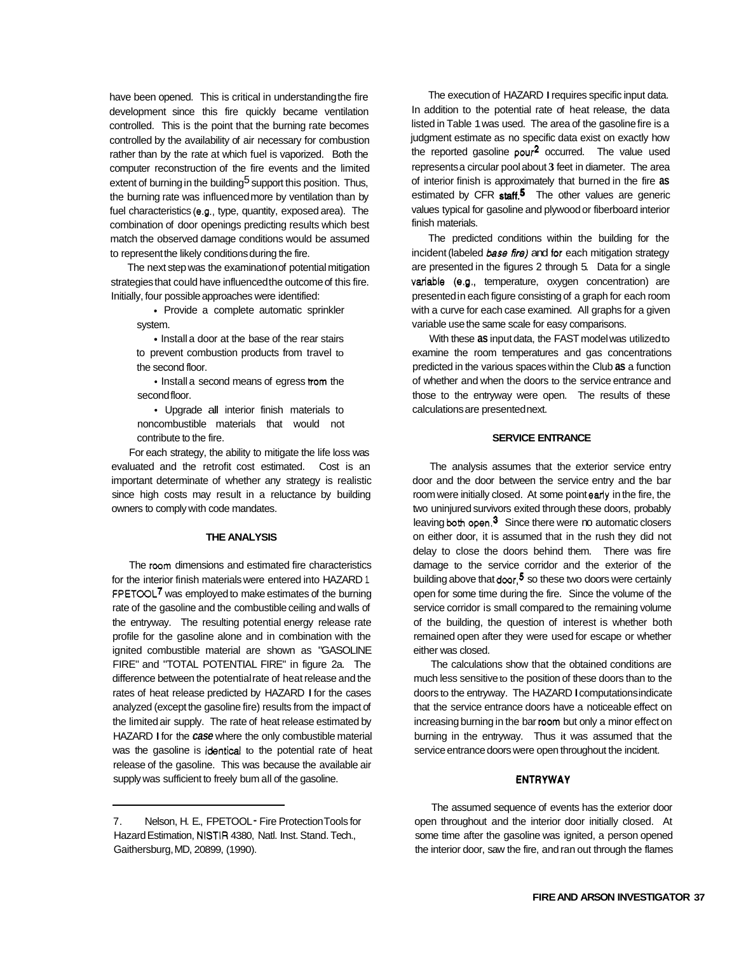have been opened. This is critical in understanding the fire development since this fire quickly became ventilation controlled. This is the point that the burning rate becomes controlled by the availability of air necessary for combustion rather than by the rate at which fuel is vaporized. Both the computer reconstruction of the fire events and the limited extent of burning in the building<sup>5</sup> support this position. Thus, the burning rate was influenced more by ventilation than by fuel characteristics (e.g., type, quantity, exposed area). The combination of door openings predicting results which best match the observed damage conditions would be assumed to represent the likely conditions during the fire.

The next step was the examination of potential mitigation strategies that could have influenced the outcome of this fire. Initially, four possible approaches were identified:

• Provide a complete automatic sprinkler system.

• Install a door at the base of the rear stairs to prevent combustion products from travel to the second floor.

• Install a second means of egress trom the second floor.

Upgrade all interior finish materials to noncombustible materials that would not contribute to the fire.

For each strategy, the ability to mitigate the life loss was evaluated and the retrofit cost estimated. Cost is an important determinate of whether any strategy is realistic since high costs may result in a reluctance by building owners to comply with code mandates.

#### **THE ANALYSIS**

The room dimensions and estimated fire characteristics for the interior finish materials were entered into HAZARD 1. FPETOOL<sup>7</sup> was employed to make estimates of the burning rate of the gasoline and the combustible ceiling and walls of the entryway. The resulting potential energy release rate profile for the gasoline alone and in combination with the ignited combustible material are shown as "GASOLINE FIRE" and "TOTAL POTENTIAL FIRE" in figure 2a. The difference between the potential rate of heat release and the rates of heat release predicted by HAZARD I for the cases analyzed (except the gasoline fire) results from the impact of the limited air supply. The rate of heat release estimated by HAZARD I for the *case* where the only combustible material was the gasoline is identical to the potential rate of heat release of the gasoline. This was because the available air supply was sufficient to freely bum all of the gasoline.

The execution of HAZARD I requires specific input data. In addition to the potential rate of heat release, the data listed in [Table 1](#page-14-0) was used. The area of the gasoline fire is a judgment estimate as no specific data exist on exactly how the reported gasoline pou? occurred. The value used represents a circular pool about **3** feet in diameter. The area of interior finish is approximately that burned in the fire **as**  estimated by CFR **staff.5** The other values are generic values typical for gasoline and plywood or fiberboard interior finish materials.

The predicted conditions within the building for the incident (labeled *base fire)* and for each mitigation strategy are presented in the figures 2 through 5. Data for a single variable (e.g., temperature, oxygen concentration) are presented in each figure consisting of a graph for each room with a curve for each case examined. All graphs for a given variable use the same scale for easy comparisons.

With these **as** input data, the FAST model was utilized to examine the room temperatures and gas concentrations predicted in the various spaces within the Club **as** a function of whether and when the doors to the service entrance and those to the entryway were open. The results of these calculations are presented next.

## **SERVICE ENTRANCE**

The analysis assumes that the exterior service entry door and the door between the service entry and the bar room were initially closed. At some point early in the fire, the two uninjured survivors exited through these doors, probably leaving both open.<sup>3</sup> Since there were no automatic closers on either door, it is assumed that in the rush they did not delay to close the doors behind them. There was fire damage to the service corridor and the exterior of the building above that  $d$ oor,<sup>5</sup> so these two doors were certainly open for some time during the fire. Since the volume of the service corridor is small compared to the remaining volume of the building, the question of interest is whether both remained open after they were used for escape or whether either was closed.

The calculations show that the obtained conditions are much less sensitive to the position of these doors than to the doors to the entryway. The HAZARD I computations indicate that the service entrance doors have a noticeable effect on increasing burning in the bar room but only a minor effect on burning in the entryway. Thus it was assumed that the service entrance doors were open throughout the incident.

## **ENTRYWAY**

The assumed sequence of events has the exterior door open throughout and the interior door initially closed. At some time after the gasoline was ignited, a person opened the interior door, saw the fire, and ran out through the flames

<sup>7.</sup>  Hazard Estimation, NlSTlR 4380, Natl. Inst. Stand. Tech., Gaithersburg, MD, 20899, (1990). Nelson, H. E., FPETOOL - Fire Protection Tools for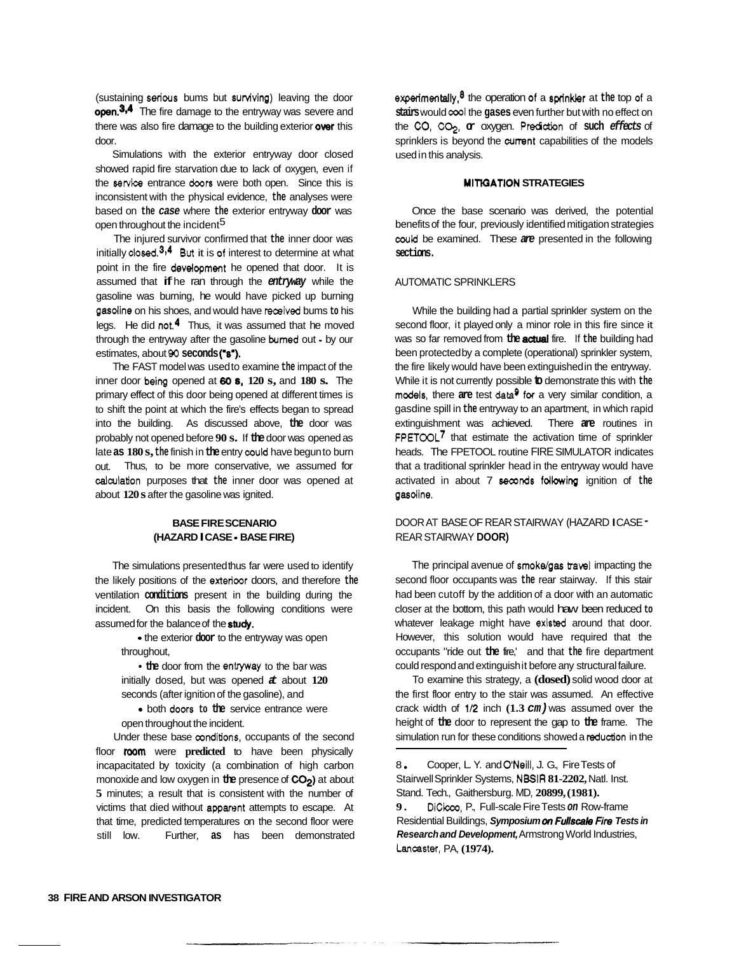(sustaining serious bums but surviving) leaving the door open.<sup>3,4</sup> The fire damage to the entryway was severe and there was also fire damage to the building exterior over this door.

Simulations with the exterior entryway door closed showed rapid fire starvation due to lack of oxygen, even if the service entrance doors were both open. Since this is inconsistent with the physical evidence, **the** analyses were based on **the** *case* where **the** exterior entryway **door** was open throughout the incident5

The injured survivor confirmed that **the** inner door was initially **closed.<sup>3,4</sup> But it is of interest to determine at what** point in the fire development he opened that door. It is assumed that if he ran through the *entryway* while the gasoline was burning, he would have picked up burning gasdine on his shoes, and would have received bums **to** his legs. He did not,  $4$  Thus, it was assumed that he moved through the entryway after the gasoline bumed out - by our estimates, about **90 seconds** *("8').* 

The FAST model was used to examine **the** impact of the inner door **being** opened at **60** *8,* **120 s,** and **180 s.** The primary effect of this door being opened at different times is to shift the point at which the fire's effects began to spread into the building. As discussed above, **the** door was probably not opened before **90 s.** If **the** door was opened as late **as 180 s, the** finish in **the** entry could have begun to burn out. Thus, to be more conservative, we assumed for calculation purposes that **the** inner door was opened at about **120 s** after the gasoline was ignited.

## **BASE FIRE SCENARIO (HAZARD I CASE** - **BASE FIRE)**

The simulations presented thus far were used to identify the likely positions of the exterioor doors, and therefore **the**  ventilation **conditions** present in the building during the incident. On this basis the following conditions were assumed for the balance of the **study.** 

> **<sup>9</sup>**the exterior **door** to the entryway was open throughout,

> • the door from the entryway to the bar was initially dosed, but was opened *at* about **120**  seconds (after ignition of the gasoline), and

> • both doors to the service entrance were open throughout the incident.

Under these base conditions, occupants of the second floor **room** were **predicted** to have been physically incapacitated by toxicity (a combination of high carbon monoxide and low oxygen in **the** presence of **COP)** at about **5** minutes; a result that is consistent with the number of victims that died without apparent attempts to escape. At that time, predicted temperatures on the second floor were still low. Further, **as** has been demonstrated experimentally8 the operation of a sprinkler at **the** top of a **stairs** would **cool** the **gases** even further but with no effect on the *CO,* CQ, **or** oxygen. Prediction of **such** *effects* of sprinklers is beyond the current capabilities of the models used in this analysis.

## **MITIGATION STRATEGIES**

Once the base scenario was derived, the potential benefits of the four, previously identified mitigation strategies **couki** be examined. These *are* presented in the following **sections.** 

## AUTOMATIC SPRINKLERS

While the building had a partial sprinkler system on the second floor, it played only a minor role in this fire since it was so far removed from **the** actual fire. If **the** building had been protected by a complete (operational) sprinkler system, the fire likely would have been extinguished in the entryway. While it is not currently possible **to** demonstrate this with **the**  models, there **are** test **data9 for** a very similar condition, a gasdine spill in **the** entryway to an apartment, in which rapid extinguishment was achieved. There **are** routines in FPETOOL<sup>7</sup> that estimate the activation time of sprinkler heads. The FPETOOL routine FIRE SIMULATOR indicates that a traditional sprinkler head in the entryway would have activated in about 7 **seconds** following ignition of **the**  gasdine.

## DOOR AT BASE OF REAR STAIRWAY (HAZARD I CASE - REAR STAIRWAY **DOOR)**

The principal avenue of smokdgas **trawl** impacting the second floor occupants was **the** rear stairway. If this stair had been cutoff by the addition of a door with an automatic closer at the bottom, this path would haw been reduced **to**  whatever leakage might have existed around that door. However, this solution would have required that the occupants "ride out **the** fire,' and that **the** fire department could respond and extinguish it before any structural failure.

To examine this strategy, a **(dosed)** solid wood door at the first floor entry to the stair was assumed. An effective crack width of 1/2 inch  $(1.3 \text{ cm})$  was assumed over the height of **the** door to represent the gap to **the** frame. The simulation run for these conditions showed a reduction in the

8 Stairwell Sprinkler Systems, NBSlR **81-2202,** Natl. Inst. Stand. Tech., Gaithersburg. MD, **20899, (1981).**  9. DiCicco, P., Full-scale Fire Tests on Row-frame Residential Buildings, *Symposium on Fu//scak Fire Tests in Research and Development,* Armstrong World Industries, Lancaster, PA, **(1974).**  Cooper, L. Y. and O'Neill, J. G., Fire Tests of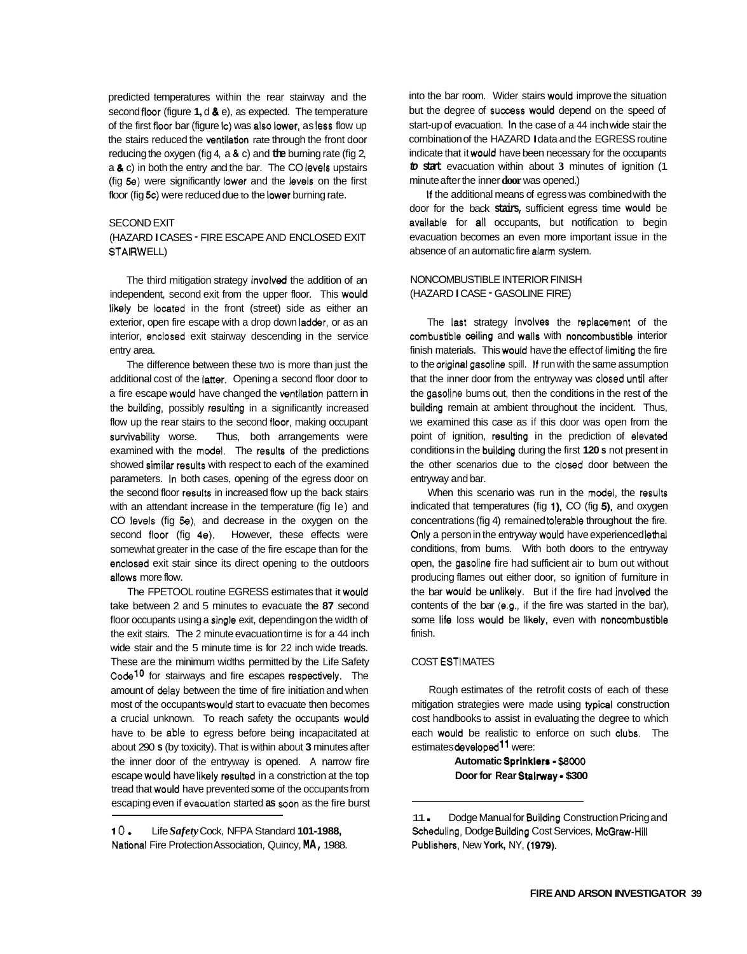predicted temperatures within the rear stairway and the second floor (figure **1, d & e)**, as expected. The temperature of the first floor bar (figure IC) was also lower, as less flow up the stairs reduced the ventilation rate through the front door reducing the oxygen (fig 4, a *8* c) and **the** burning rate (fig 2, a *8* c) in both the entry and the bar. The CO levels upstairs (fig **Se)** were significantly lower and the levels on the first floor (fig 5c) were reduced due to the lower burning rate.

### SECOND EXIT

#### STAIRWELL) (HAZARD I CASES - FIRE ESCAPE AND ENCLOSED EXIT

The third mitigation strategy involved the addition of an independent, second exit from the upper floor. This would likely be located in the front (street) side as either an exterior, open fire escape with a drop down ladder, or as an interior, enclosed exit stairway descending in the service entry area.

The difference between these two is more than just the additional cost of the latter. Opening a second floor door to a fire escape would have changed the ventilation pattern in the building, possibly resulting in a significantly increased flow up the rear stairs to the second floor, making occupant survivability worse. Thus, both arrangements were examined with the model. The results of the predictions showed similar results with respect to each of the examined parameters. In both cases, opening of the egress door on the second floor results in increased flow up the back stairs with an attendant increase in the temperature (fig le) and CO levels (fig **Se),** and decrease in the oxygen on the second floor (fig 4e). However, these effects were somewhat greater in the case of the fire escape than for the enclosed exit stair since its direct opening to the outdoors allows more flow.

The FPETOOL routine EGRESS estimates that it would take between 2 and 5 minutes to evacuate the **87** second floor occupants using a single exit, depending on the width of the exit stairs. The 2 minute evacuation time is for a 44 inch wide stair and the 5 minute time is for 22 inch wide treads. These are the minimum widths permitted by the Life Safety  $Code<sup>10</sup>$  for stairways and fire escapes respectively. The amount of delay between the time of fire initiation and when most of the occupants would start to evacuate then becomes a crucial unknown. To reach safety the occupants would have to be able to egress before being incapacitated at about 290 **s** (by toxicity). That is within about **3** minutes after the inner door of the entryway is opened. A narrow fire escape would have likely resulted in a constriction at the top tread that would have prevented some of the occupants from escaping even if evacuation started **as** soon as the fire burst into the bar room. Wider stairs would improve the situation but the degree of success would depend on the speed of start-up of evacuation. In the case of a 44 inch wide stair the combination of the HAZARD I data and the EGRESS routine indicate that it would have been necessary for the occupants *to* **start** evacuation within about **3** minutes of ignition (1 minute after the inner **door** was opened.)

If the additional means of egress was combined with the door for the back **stairs,** sufficient egress time would be available for all occupants, but notification to begin evacuation becomes an even more important issue in the absence of an automatic fire alarm system.

## NONCOMBUSTIBLE INTERIOR FINISH (HAZARD I CASE - GASOLINE FIRE)

The last strategy involves the replacement of the combustible ceiling and walls with noncombustible interior finish materials. This would have the effect of limiting the fire to the original gasoline spill. If run with the same assumption that the inner door from the entryway was closed until after the gasoline bums out, then the conditions in the rest of the building remain at ambient throughout the incident. Thus, we examined this case as if this door was open from the point of ignition, resulting in the prediction of elevated conditions in the building during the first **120 s** not present in the other scenarios due to the closed door between the entryway and bar.

When this scenario was run in the model, the results indicated that temperatures (fig **l),** CO (fig **5),** and oxygen concentrations (fig 4) remained tolerable throughout the fire. Only a person in the entryway would have experienced lethal conditions, from bums. With both doors to the entryway open, the gasoline fire had sufficient air to bum out without producing flames out either door, so ignition of furniture in the bar would be unlikely. But if the fire had involved the contents of the bar (e.g., if the fire was started in the bar), some life loss would be likely, even with noncombustible finish.

#### COST ESTIMATES

Rough estimates of the retrofit costs of each of these mitigation strategies were made using typical construction cost handbooks to assist in evaluating the degree to which each would be realistic to enforce on such clubs. The estimates developed11 were:

> **Automatic Sprlnklers** - *\$6000*  **Door for Rear Stalmay** - **\$300**

 $10.$ National Fire Protection Association, Quincy, **MA,** 1988. Life *Safety* Cock, NFPA Standard **101-1988,** 

 $11 -$ Scheduling, Dodge Building Cost Services, McGraw-Hill Publishers, New **York,** NY, **(1979).**  Dodge Manual for Building Construction Pricing and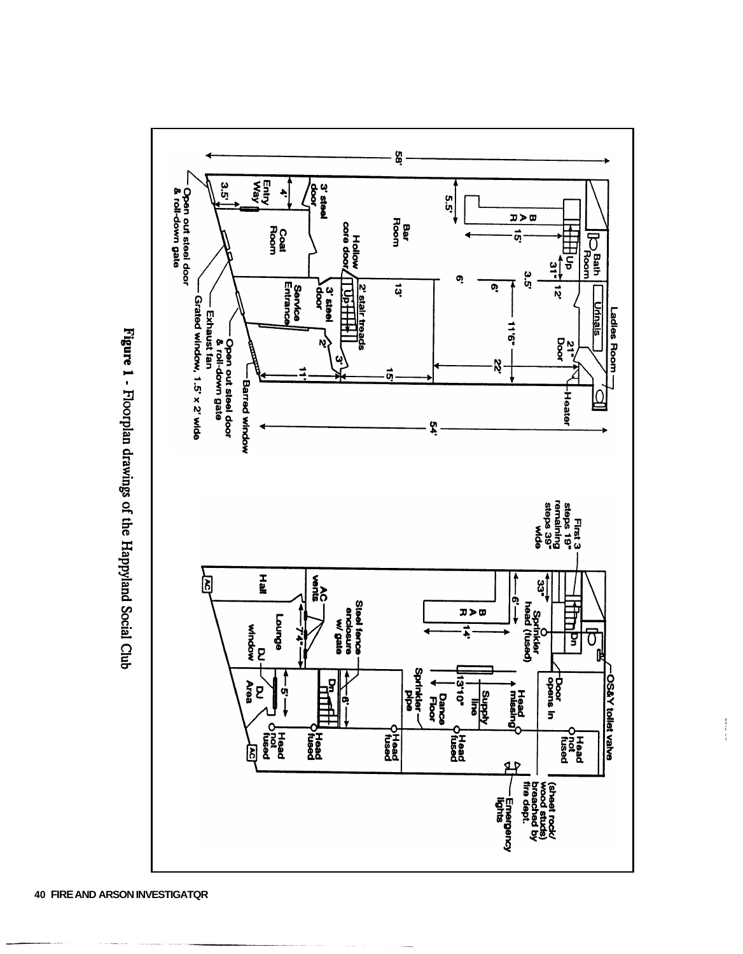

 $\frac{1}{2}$ 

Figure 1 - Floorplan drawings of the Happyland Social Club

**40 FIRE AND ARSON INVESTIGATQR**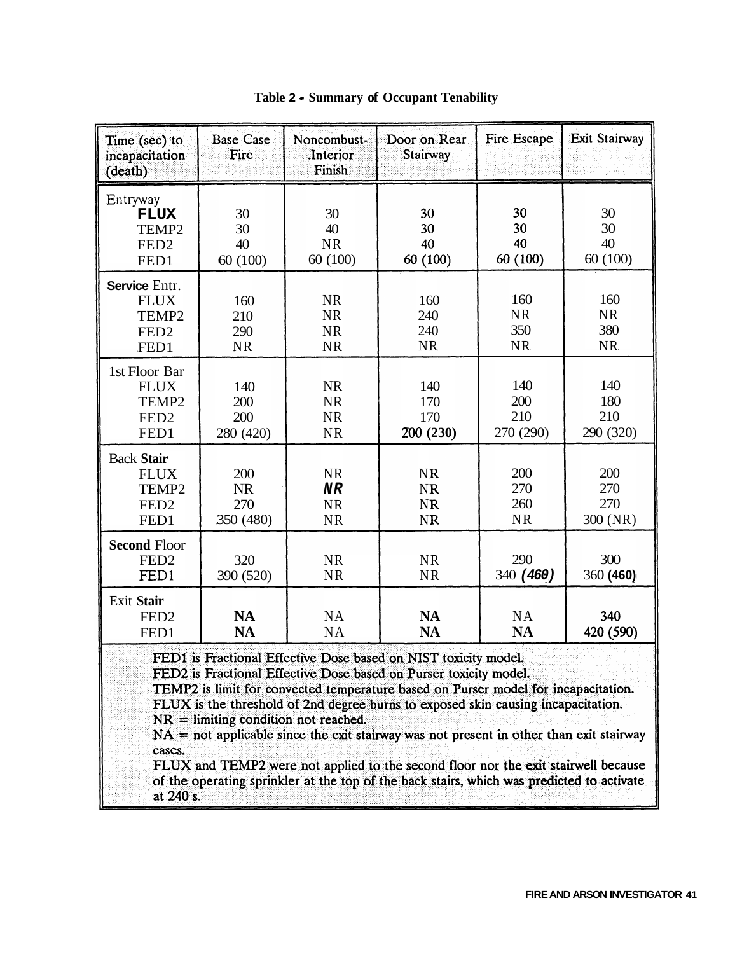<span id="page-8-0"></span>

| Time (sec) to<br>incapacitation<br>(death)                            | <b>Base Case</b><br>Fire               | Noncombust-<br>.Interior<br>Finish               | Door on Rear<br>Stairway                                                                                                                                                                                                                                                                                                                                                                                                                                                                                                                                                                        | Fire Escape                          | Exit Stairway                        |
|-----------------------------------------------------------------------|----------------------------------------|--------------------------------------------------|-------------------------------------------------------------------------------------------------------------------------------------------------------------------------------------------------------------------------------------------------------------------------------------------------------------------------------------------------------------------------------------------------------------------------------------------------------------------------------------------------------------------------------------------------------------------------------------------------|--------------------------------------|--------------------------------------|
| Entryway<br><b>FLUX</b><br>TEMP2<br>FED <sub>2</sub><br>FED1          | 30<br>30<br>40<br>60(100)              | 30<br>40<br><b>NR</b><br>60(100)                 | 30<br>30<br>40<br>60 (100)                                                                                                                                                                                                                                                                                                                                                                                                                                                                                                                                                                      | 30<br>30<br>40<br>60 (100)           | 30<br>30<br>40<br>60(100)            |
| Service Entr.<br><b>FLUX</b><br>TEMP2<br>FED <sub>2</sub><br>FED1     | 160<br>210<br>290<br><b>NR</b>         | <b>NR</b><br><b>NR</b><br><b>NR</b><br><b>NR</b> | 160<br>240<br>240<br><b>NR</b>                                                                                                                                                                                                                                                                                                                                                                                                                                                                                                                                                                  | 160<br><b>NR</b><br>350<br><b>NR</b> | 160<br><b>NR</b><br>380<br><b>NR</b> |
| 1st Floor Bar<br><b>FLUX</b><br>TEMP2<br>FED <sub>2</sub><br>FED1     | 140<br>200<br>200<br>280 (420)         | <b>NR</b><br><b>NR</b><br><b>NR</b><br><b>NR</b> | 140<br>170<br>170<br>200 (230)                                                                                                                                                                                                                                                                                                                                                                                                                                                                                                                                                                  | 140<br>200<br>210<br>270 (290)       | 140<br>180<br>210<br>290 (320)       |
| <b>Back Stair</b><br><b>FLUX</b><br>TEMP2<br>FED <sub>2</sub><br>FED1 | 200<br><b>NR</b><br>270<br>350 (480)   | <b>NR</b><br><b>NR</b><br><b>NR</b><br><b>NR</b> | <b>NR</b><br><b>NR</b><br><b>NR</b><br><b>NR</b>                                                                                                                                                                                                                                                                                                                                                                                                                                                                                                                                                | 200<br>270<br>260<br><b>NR</b>       | 200<br>270<br>270<br>300 (NR)        |
| <b>Second Floor</b><br>FED <sub>2</sub><br>FED1                       | 320<br>390 (520)                       | <b>NR</b><br><b>NR</b>                           | <b>NR</b><br><b>NR</b>                                                                                                                                                                                                                                                                                                                                                                                                                                                                                                                                                                          | 290<br>340 (460)                     | 300<br>360 (460)                     |
| Exit Stair<br>FED <sub>2</sub><br>FED1                                | <b>NA</b><br><b>NA</b>                 | <b>NA</b><br><b>NA</b>                           | <b>NA</b><br><b>NA</b>                                                                                                                                                                                                                                                                                                                                                                                                                                                                                                                                                                          | NA<br><b>NA</b>                      | 340<br>420 (590)                     |
| cases.<br>at 240 s.                                                   | $NR =$ limiting condition not reached. |                                                  | FED1 is Fractional Effective Dose based on NIST toxicity model.<br>FED2 is Fractional Effective Dose based on Purser toxicity model.<br>TEMP2 is limit for convected temperature based on Purser model for incapacitation.<br>FLUX is the threshold of 2nd degree burns to exposed skin causing incapacitation.<br>$NA$ = not applicable since the exit stairway was not present in other than exit stairway<br>FLUX and TEMP2 were not applied to the second floor nor the exit stairwell because<br>of the operating sprinkler at the top of the back stairs, which was predicted to activate |                                      |                                      |

|  |  |  |  | Table 2 - Summary of Occupant Tenability |
|--|--|--|--|------------------------------------------|
|--|--|--|--|------------------------------------------|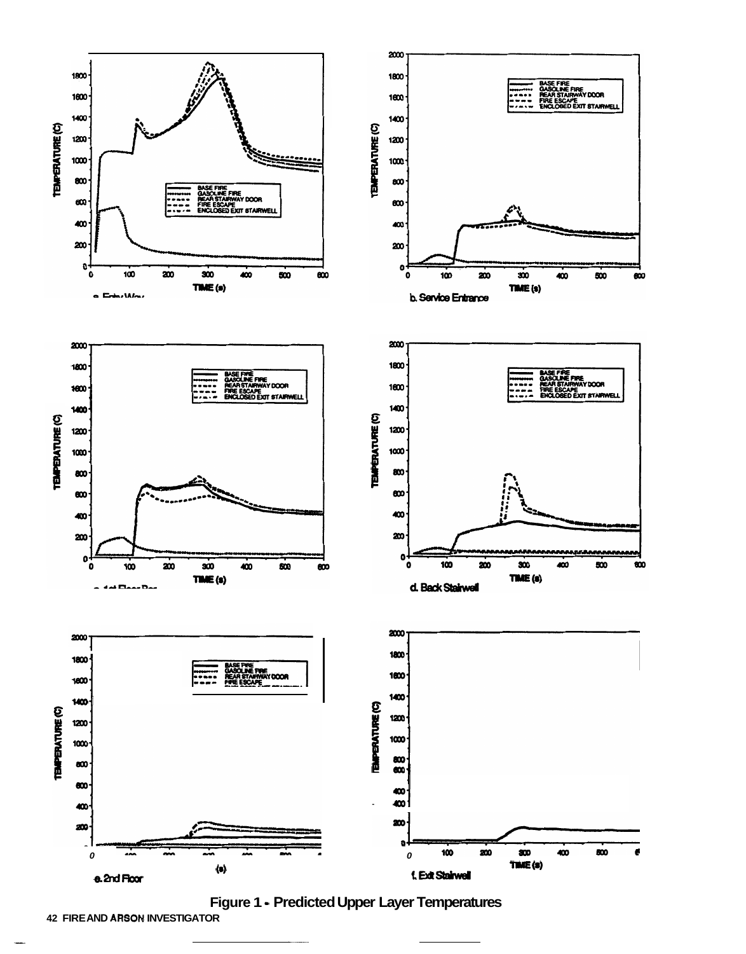<span id="page-9-0"></span>

Figure 1 - Predicted Upper Layer Temperatures

**42 FIREAND ARSON INVESTIGATOR**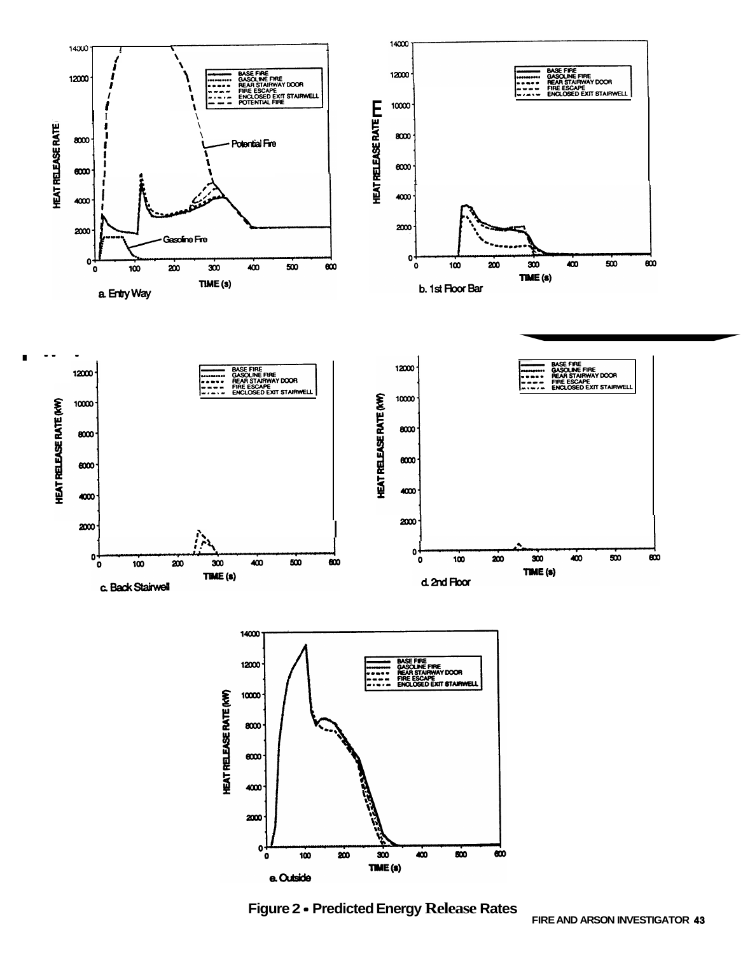

Figure 2 - Predicted Energy Release Rates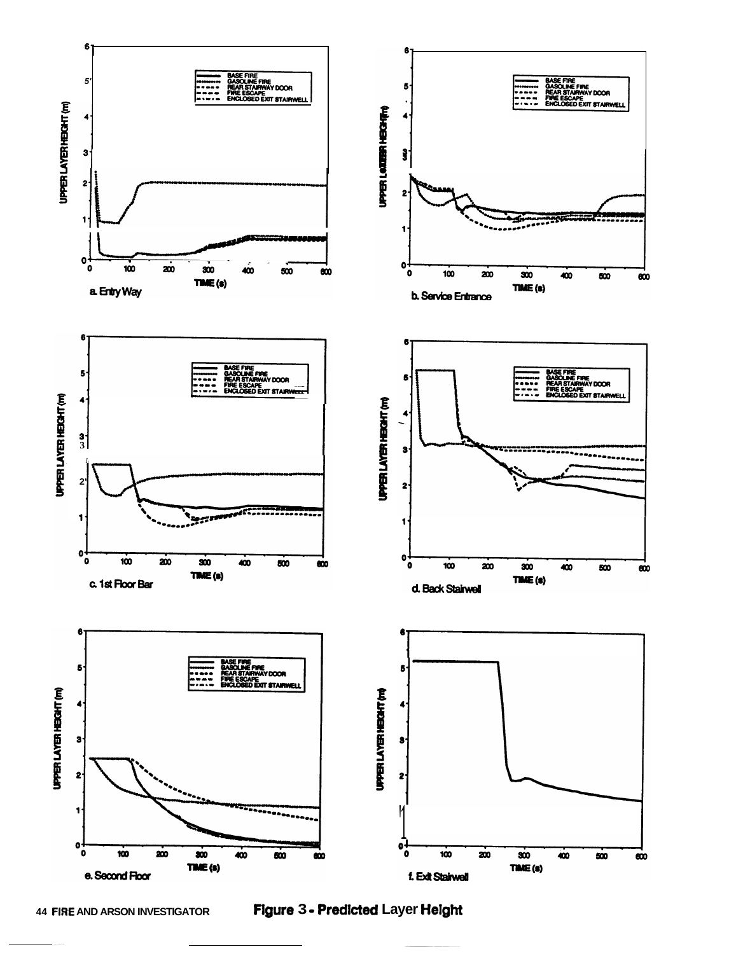

**44 FIRE AND ARSON INVESTIGATOR** 

Figure 3 - Predicted Layer Height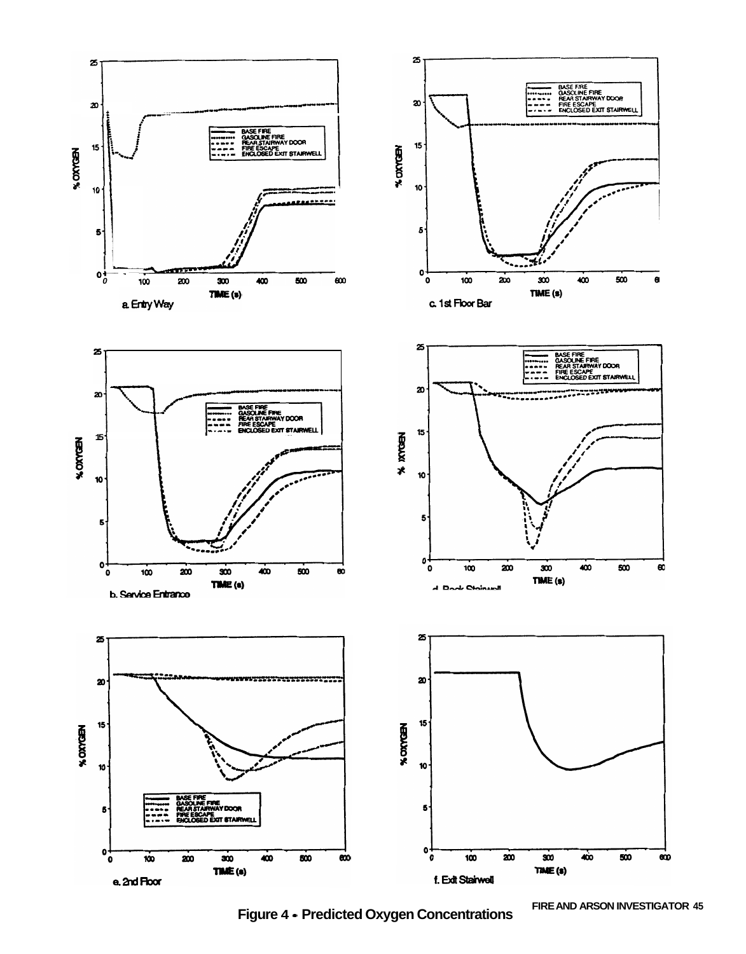

Figure 4 • Predicted Oxygen Concentrations

FIRE AND ARSON INVESTIGATOR 45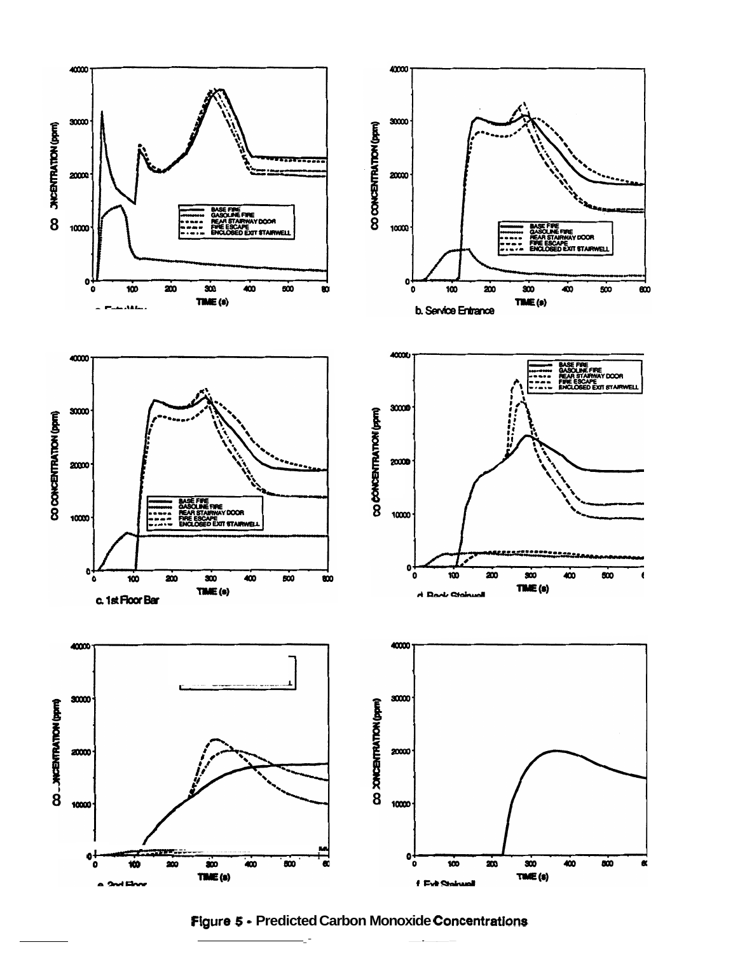

Figure 5 - Predicted Carbon Monoxide Concentrations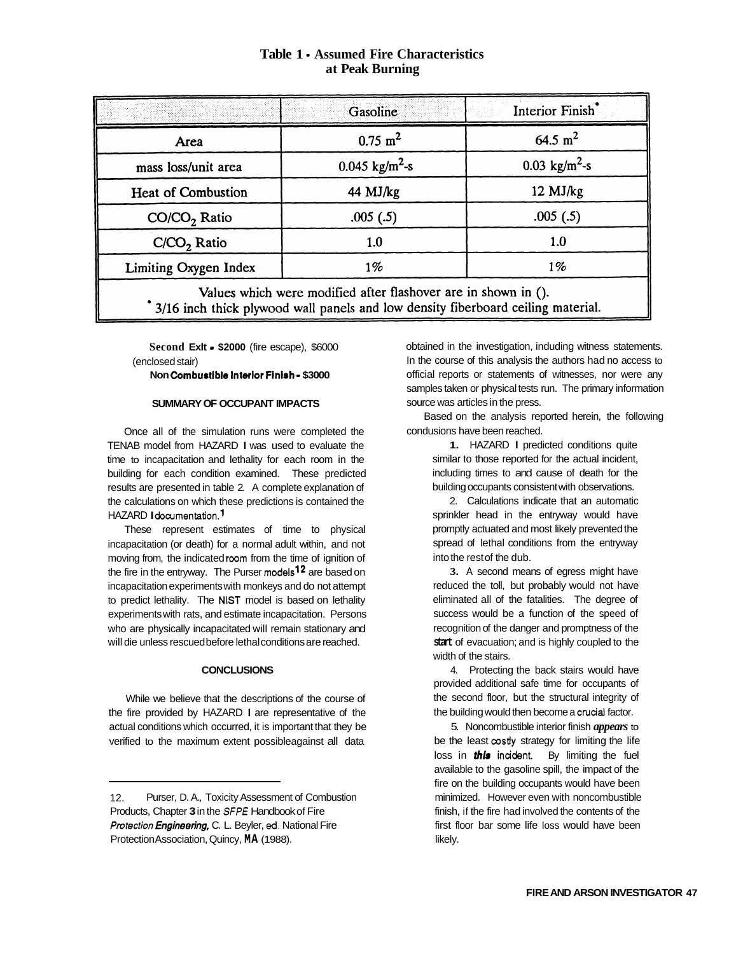## **Table 1** - **Assumed Fire Characteristics at Peak Burning**

<span id="page-14-0"></span>

|                                                                | Gasoline                  | Interior Finish <sup>*</sup> |  |  |  |
|----------------------------------------------------------------|---------------------------|------------------------------|--|--|--|
| Area                                                           | $0.75 \; \mathrm{m}^2$    | 64.5 $m^2$                   |  |  |  |
| mass loss/unit area                                            | $0.045 \text{ kg/m}^2$ -s | 0.03 $\text{kg/m}^2$ -s      |  |  |  |
| <b>Heat of Combustion</b>                                      | 44 MJ/kg                  | 12 MJ/kg                     |  |  |  |
| $CO/CO2$ Ratio                                                 | .005(.5)                  | .005(.5)                     |  |  |  |
| $C/CO2$ Ratio                                                  | 1.0                       | 1.0                          |  |  |  |
| Limiting Oxygen Index                                          | $1\%$                     | 1%                           |  |  |  |
| Values which were modified after flashover are in shown in (). |                           |                              |  |  |  |

3/16 inch thick plywood wall panels and low density fiberboard ceiling material.

**Second Exlt** - **\$2000** (fire escape), \$6000 (enclosed stair)

**Non Combustible Interior Finish - \$3000** 

## **SUMMARY OF OCCUPANT IMPACTS**

Once all of the simulation runs were completed the TENAB model from HAZARD I was used to evaluate the time to incapacitation and lethality for each room in the building for each condition examined. These predicted results are presented in [table 2.](#page-8-0) A complete explanation of the calculations on which these predictions is contained the HAZARD Idocumentation.<sup>1</sup>

These represent estimates of time to physical incapacitation (or death) for a normal adult within, and not moving from, the indicated room from the time of ignition of the fire in the entryway. The Purser models<sup>12</sup> are based on incapacitation experiments with monkeys and do not attempt to predict lethality. The NlST model is based on lethality experiments with rats, and estimate incapacitation. Persons who are physically incapacitated will remain stationary and will die unless rescued before lethal conditions are reached.

#### **CONCLUSIONS**

While we believe that the descriptions of the course of the fire provided by HAZARD I are representative of the actual conditions which occurred, it is important that they be verified to the maximum extent possibleagainst all data

obtained in the investigation, induding witness statements. In the course of this analysis the authors had no access to official reports or statements of witnesses, nor were any samples taken or physical tests run. The primary information source was articles in the press.

Based on the analysis reported herein, the following condusions have been reached.

> **1.** HAZARD I predicted conditions quite similar to those reported for the actual incident, including times to and cause of death for the building occupants consistent with observations.

> 2. Calculations indicate that an automatic sprinkler head in the entryway would have promptly actuated and most likely prevented the spread of lethal conditions from the entryway into the rest of the dub.

> **3.** A second means of egress might have reduced the toll, but probably would not have eliminated all of the fatalities. The degree of success would be a function of the speed of recognition of the danger and promptness of the start of evacuation; and is highly coupled to the width of the stairs.

> 4. Protecting the back stairs would have provided additional safe time for occupants of the second floor, but the structural integrity of the building would then become a crucial factor.

5. Noncombustible interior finish *appears* to be the least  $\cos t$ y strategy for limiting the life loss in *this* incident. By limiting the fuel available to the gasoline spill, the impact of the fire on the building occupants would have been minimized. However even with noncombustible finish, if the fire had involved the contents of the first floor bar some life loss would have been likely.

<sup>12.</sup>  Products, Chapter **3** in the *SFPE* Handbook of Fire *Protection Engineering, C. L. Beyler, ed. National Fire* Protection Association, Quincy, **MA** (1988). Purser, D. A., Toxicity Assessment of Combustion